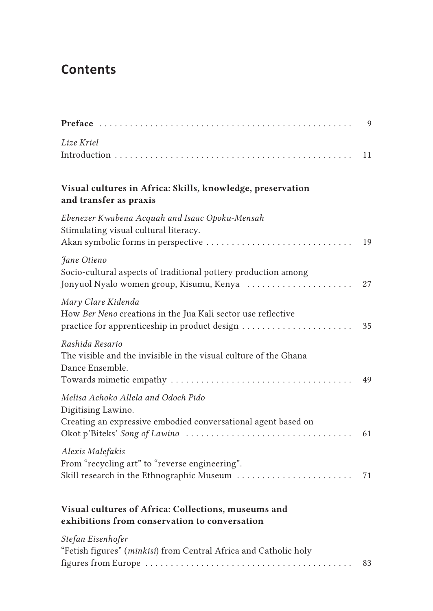## **Contents**

|                                                                                                                            | 9  |
|----------------------------------------------------------------------------------------------------------------------------|----|
| Lize Kriel                                                                                                                 | 11 |
| Visual cultures in Africa: Skills, knowledge, preservation<br>and transfer as praxis                                       |    |
| Ebenezer Kwabena Acquah and Isaac Opoku-Mensah<br>Stimulating visual cultural literacy.                                    | 19 |
| Jane Otieno<br>Socio-cultural aspects of traditional pottery production among<br>Jonyuol Nyalo women group, Kisumu, Kenya  | 27 |
| Mary Clare Kidenda<br>How Ber Neno creations in the Jua Kali sector use reflective                                         | 35 |
| Rashida Resario<br>The visible and the invisible in the visual culture of the Ghana<br>Dance Ensemble.                     | 49 |
| Melisa Achoko Allela and Odoch Pido<br>Digitising Lawino.<br>Creating an expressive embodied conversational agent based on | 61 |
| Alexis Malefakis<br>From "recycling art" to "reverse engineering".<br>Skill research in the Ethnographic Museum            | 71 |
| Visual cultures of Africa: Collections, museums and<br>exhibitions from conservation to conversation                       |    |
| Stefan Eisenhofer<br>"Fetish figures" (minkisi) from Central Africa and Catholic holy                                      | 83 |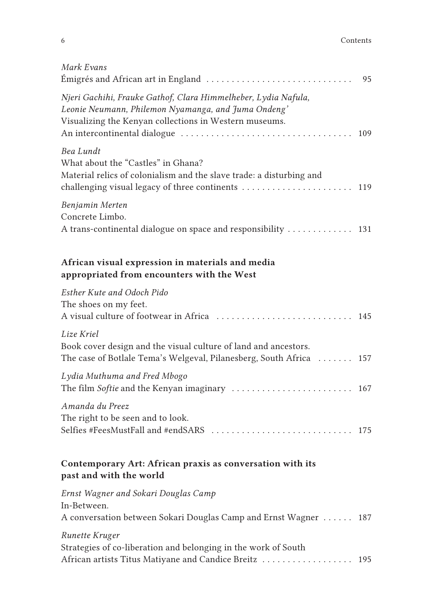| Mark Evans                                                                                                                                                                      | 95  |
|---------------------------------------------------------------------------------------------------------------------------------------------------------------------------------|-----|
| Njeri Gachihi, Frauke Gathof, Clara Himmelheber, Lydia Nafula,<br>Leonie Neumann, Philemon Nyamanga, and Juma Ondeng'<br>Visualizing the Kenyan collections in Western museums. | 109 |
| Bea Lundt<br>What about the "Castles" in Ghana?<br>Material relics of colonialism and the slave trade: a disturbing and<br>challenging visual legacy of three continents  119   |     |
| Benjamin Merten<br>Concrete Limbo.<br>A trans-continental dialogue on space and responsibility  131                                                                             |     |
| African visual expression in materials and media<br>appropriated from encounters with the West                                                                                  |     |
| Esther Kute and Odoch Pido<br>The shoes on my feet.<br>A visual culture of footwear in Africa  145                                                                              |     |
| Lize Kriel<br>Book cover design and the visual culture of land and ancestors.<br>The case of Botlale Tema's Welgeval, Pilanesberg, South Africa  157                            |     |
| Lydia Muthuma and Fred Mbogo                                                                                                                                                    |     |
| Amanda du Preez<br>The right to be seen and to look.<br>Selfies #FeesMustFall and #endSARS  175                                                                                 |     |
| Contemporary Art: African praxis as conversation with its<br>past and with the world                                                                                            |     |
| Ernst Wagner and Sokari Douglas Camp<br>In-Between.<br>A conversation between Sokari Douglas Camp and Ernst Wagner  187                                                         |     |
| Runette Kruger<br>Strategies of co-liberation and belonging in the work of South<br>African artists Titus Matiyane and Candice Breitz                                           | 195 |